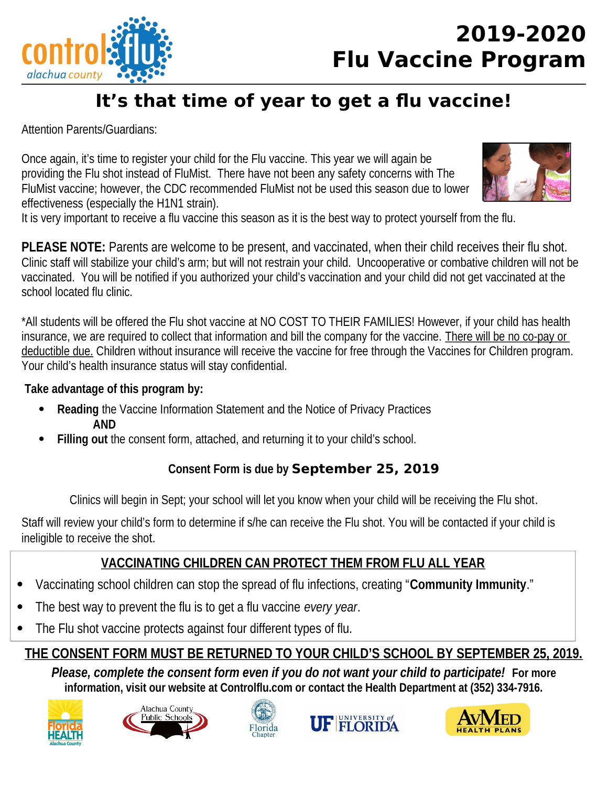



# It's that time of year to get a flu vaccine!

**Attention Parents/Guardians:** 

Once again, it's time to register your child for the Flu vaccine. This year we will again be providing the Flu shot instead of FluMist. There have not been any safety concerns with The FluMist vaccine; however, the CDC recommended FluMist not be used this season due to lower effectiveness (especially the H1N1 strain).



It is very important to receive a flu vaccine this season as it is the best way to protect yourself from the flu.

**PLEASE NOTE:** Parents are welcome to be present, and vaccinated, when their child receives their flu shot. Clinic staff will stabilize your child's arm; but will not restrain your child. Uncooperative or combative children will not be vaccinated. You will be notified if you authorized your child's vaccination and your child did not get vaccinated at the school located flu clinic.

\*All students will be offered the Flu shot vaccine at NO COST TO THEIR FAMILIES! However, if your child has health insurance, we are required to collect that information and bill the company for the vaccine. There will be no co-pay or deductible due. Children without insurance will receive the vaccine for free through the Vaccines for Children program. Your child's health insurance status will stay confidential.

## Take advantage of this program by:

- **Reading the Vaccine Information Statement and the Notice of Privacy Practices AND**
- Filling out the consent form, attached, and returning it to your child's school.

# Consent Form is due by September 25, 2019

Clinics will begin in Sept; your school will let you know when your child will be receiving the Flu shot.

Staff will review your child's form to determine if s/he can receive the Flu shot. You will be contacted if your child is ineligible to receive the shot.

# VACCINATING CHILDREN CAN PROTECT THEM FROM FLU ALL YEAR

- Vaccinating school children can stop the spread of flu infections, creating "Community Immunity."  $\bullet$
- The best way to prevent the flu is to get a flu vaccine every year.
- The Flu shot vaccine protects against four different types of flu.

# THE CONSENT FORM MUST BE RETURNED TO YOUR CHILD'S SCHOOL BY SEPTEMBER 25, 2019.

Please, complete the consent form even if you do not want your child to participate! For more information, visit our website at Controlflu.com or contact the Health Department at (352) 334-7916.









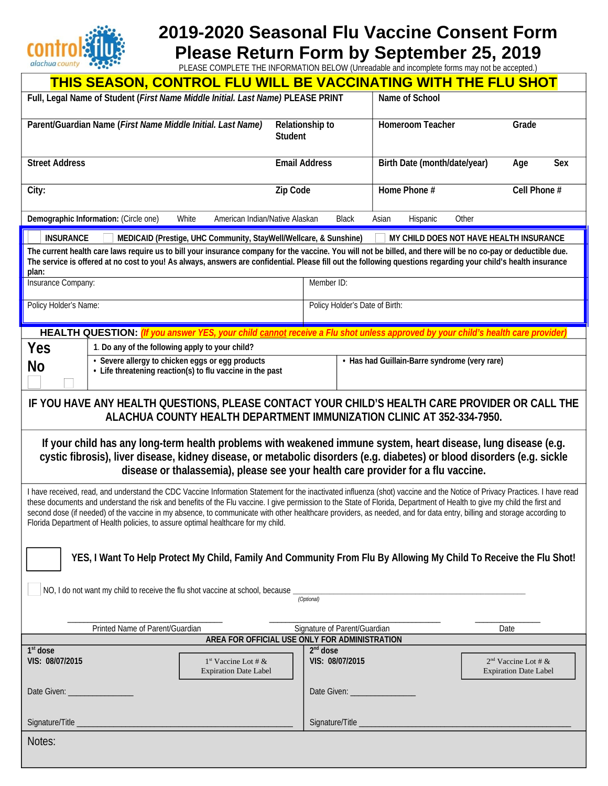

# 2019-2020 Seasonal Flu Vaccine Consent Form Please Return Form by September 25, 2019<br>PLEASE COMPLETE THE INFORMATION BELOW (Unreadable and incomplete forms may not be accepted.)

| THIS SEASON, CONTROL FLU WILL BE VACCINATING WITH THE FLU SHOT                                                                                                                                                                                                                                                                                                                                                                                                                                                                                                                                                     |                                                                                                               |                      |                                |                                               |                                                       |
|--------------------------------------------------------------------------------------------------------------------------------------------------------------------------------------------------------------------------------------------------------------------------------------------------------------------------------------------------------------------------------------------------------------------------------------------------------------------------------------------------------------------------------------------------------------------------------------------------------------------|---------------------------------------------------------------------------------------------------------------|----------------------|--------------------------------|-----------------------------------------------|-------------------------------------------------------|
| Full, Legal Name of Student (First Name Middle Initial. Last Name) PLEASE PRINT                                                                                                                                                                                                                                                                                                                                                                                                                                                                                                                                    |                                                                                                               |                      |                                | <b>Name of School</b>                         |                                                       |
| Parent/Guardian Name (First Name Middle Initial. Last Name)<br><b>Relationship to</b><br><b>Student</b>                                                                                                                                                                                                                                                                                                                                                                                                                                                                                                            |                                                                                                               |                      |                                | <b>Homeroom Teacher</b>                       | Grade                                                 |
| <b>Street Address</b>                                                                                                                                                                                                                                                                                                                                                                                                                                                                                                                                                                                              |                                                                                                               | <b>Email Address</b> |                                | Birth Date (month/date/year)                  | <b>Sex</b><br>Age                                     |
| City:                                                                                                                                                                                                                                                                                                                                                                                                                                                                                                                                                                                                              |                                                                                                               | <b>Zip Code</b>      |                                | Home Phone #                                  | Cell Phone #                                          |
| Demographic Information: (Circle one)<br>White<br>American Indian/Native Alaskan<br><b>Black</b><br>Asian<br>Hispanic<br>Other                                                                                                                                                                                                                                                                                                                                                                                                                                                                                     |                                                                                                               |                      |                                |                                               |                                                       |
| <b>INSURANCE</b><br>MEDICAID (Prestige, UHC Community, StayWell/Wellcare, & Sunshine)<br>MY CHILD DOES NOT HAVE HEALTH INSURANCE<br>The current health care laws require us to bill your insurance company for the vaccine. You will not be billed, and there will be no co-pay or deductible due.<br>The service is offered at no cost to you! As always, answers are confidential. Please fill out the following questions regarding your child's health insurance<br>plan:<br>Member ID:<br>Insurance Company:                                                                                                  |                                                                                                               |                      |                                |                                               |                                                       |
| Policy Holder's Name:                                                                                                                                                                                                                                                                                                                                                                                                                                                                                                                                                                                              |                                                                                                               |                      | Policy Holder's Date of Birth: |                                               |                                                       |
| HEALTH QUESTION: <i>(If you answer YES, your child cannot receive a Flu shot unless approved by your child's health care provider)</i>                                                                                                                                                                                                                                                                                                                                                                                                                                                                             |                                                                                                               |                      |                                |                                               |                                                       |
| <b>Yes</b>                                                                                                                                                                                                                                                                                                                                                                                                                                                                                                                                                                                                         | 1. Do any of the following apply to your child?                                                               |                      |                                |                                               |                                                       |
| <b>No</b>                                                                                                                                                                                                                                                                                                                                                                                                                                                                                                                                                                                                          | • Severe allergy to chicken eggs or egg products<br>• Life threatening reaction(s) to flu vaccine in the past |                      |                                | • Has had Guillain-Barre syndrome (very rare) |                                                       |
| IF YOU HAVE ANY HEALTH QUESTIONS, PLEASE CONTACT YOUR CHILD'S HEALTH CARE PROVIDER OR CALL THE<br><b>ALACHUA COUNTY HEALTH DEPARTMENT IMMUNIZATION CLINIC AT 352-334-7950.</b>                                                                                                                                                                                                                                                                                                                                                                                                                                     |                                                                                                               |                      |                                |                                               |                                                       |
| If your child has any long-term health problems with weakened immune system, heart disease, lung disease (e.g.<br>cystic fibrosis), liver disease, kidney disease, or metabolic disorders (e.g. diabetes) or blood disorders (e.g. sickle<br>disease or thalassemia), please see your health care provider for a flu vaccine.                                                                                                                                                                                                                                                                                      |                                                                                                               |                      |                                |                                               |                                                       |
| I have received, read, and understand the CDC Vaccine Information Statement for the inactivated influenza (shot) vaccine and the Notice of Privacy Practices. I have read<br>these documents and understand the risk and benefits of the Flu vaccine. I give permission to the State of Florida, Department of Health to give my child the first and<br>second dose (if needed) of the vaccine in my absence, to communicate with other healthcare providers, as needed, and for data entry, billing and storage according to<br>Florida Department of Health policies, to assure optimal healthcare for my child. |                                                                                                               |                      |                                |                                               |                                                       |
| YES, I Want To Help Protect My Child, Family And Community From Flu By Allowing My Child To Receive the Flu Shot!                                                                                                                                                                                                                                                                                                                                                                                                                                                                                                  |                                                                                                               |                      |                                |                                               |                                                       |
| NO, I do not want my child to receive the flu shot vaccine at school, because<br>(Optional)                                                                                                                                                                                                                                                                                                                                                                                                                                                                                                                        |                                                                                                               |                      |                                |                                               |                                                       |
|                                                                                                                                                                                                                                                                                                                                                                                                                                                                                                                                                                                                                    |                                                                                                               |                      |                                |                                               |                                                       |
| Printed Name of Parent/Guardian<br>Signature of Parent/Guardian<br>Date<br>AREA FOR OFFICIAL USE ONLY FOR ADMINISTRATION                                                                                                                                                                                                                                                                                                                                                                                                                                                                                           |                                                                                                               |                      |                                |                                               |                                                       |
| $1st$ dose<br>VIS: 08/07/2015                                                                                                                                                                                                                                                                                                                                                                                                                                                                                                                                                                                      | $1st$ Vaccine Lot # &<br><b>Expiration Date Label</b>                                                         | $2nd$ dose           | VIS: 08/07/2015                |                                               | $2nd$ Vaccine Lot # &<br><b>Expiration Date Label</b> |
|                                                                                                                                                                                                                                                                                                                                                                                                                                                                                                                                                                                                                    |                                                                                                               |                      |                                |                                               |                                                       |
| Signature/Title                                                                                                                                                                                                                                                                                                                                                                                                                                                                                                                                                                                                    |                                                                                                               |                      | Signature/Title                |                                               |                                                       |
| Notes:                                                                                                                                                                                                                                                                                                                                                                                                                                                                                                                                                                                                             |                                                                                                               |                      |                                |                                               |                                                       |
|                                                                                                                                                                                                                                                                                                                                                                                                                                                                                                                                                                                                                    |                                                                                                               |                      |                                |                                               |                                                       |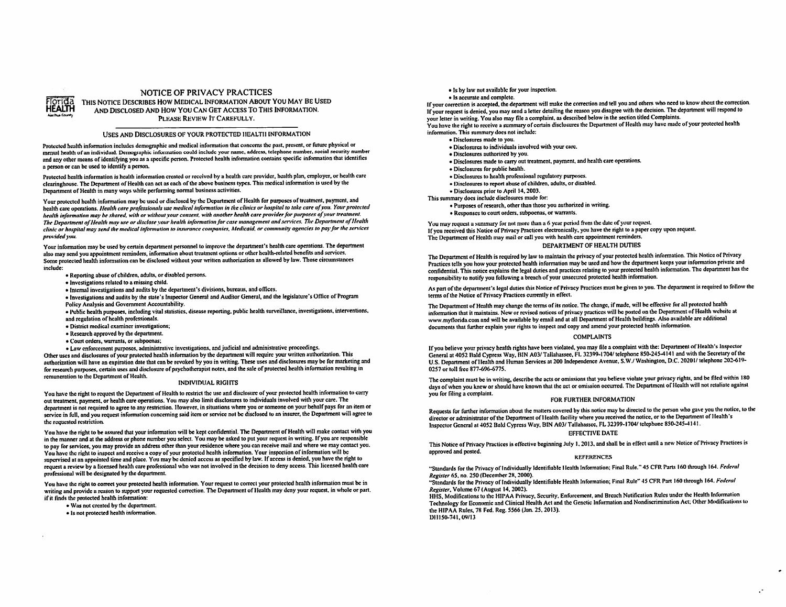

### NOTICE OF PRIVACY PRACTICES

THIS NOTICE DESCRIBES HOW MEDICAL INFORMATION ABOUT YOU MAY BE USED AND DISCLOSED AND HOW YOU CAN GET ACCESS TO THIS INFORMATION. PLEASE REVIEW IT CAREFULLY.

### USES AND DISCLOSURES OF YOUR PROTECTED HEALTH INFORMATION

Protected health information includes demographic and medical information that concerns the past, present, or future physical or mental health of an individual. Demographic information could include your name, address, telephone number, social security number and any other means of identifying you as a specific person. Protected health information contains specific information that identifies a person or can be used to identify a person.

Protected health information is health information created or received by a health care provider, health plan, employer, or health care clearinghouse. The Department of Health can act as each of the above business types. This medical information is used by the Department of Health in many ways while performing normal business activities.

Your protected health information may be used or disclosed by the Department of Health for purposes of treatment, payment, and health care operations. Health care professionals use medical information in the clinics or hospital to take care of you. Your protected health information may be shared, with or without your consent, with another health care provider for purposes of your treatment. The Department of Health may use or disclose your health information for case management and services. The Department of Health clinic or hospital may send the medical information to insurance companies, Medicald, or community agencies to pay for the services provided you.

Your information may be used by certain department personnel to improve the department's health care operations. The department also may send you appointment reminders, information about treatment options or other health-related benefits and services. Some protected health information can be disclosed without your written authorization as allowed by law. Those circumstances include:

- Renorting abuse of children, adults, or disabled persons.
- · Investigations related to a missing child.
- · Internal investigations and audits by the department's divisions, bureaus, and offices.

· Investigations and audits by the state's Inspector General and Auditor General, and the legislature's Office of Program Policy Analysis and Government Accountability.

- . Public health purposes, including vital statistics, disease reporting, public health surveillance, investigations, interventions,
- and regulation of health professionals.
- · District medical examiner investigations;
- Research approved by the department.
- · Court orders, warrants, or subpoenas;

· Law enforcement purposes, administrative investigations, and judicial and administrative proceedings.

Other uses and disclosures of your protected health information by the department will require your written authorization. This authorization will have an expiration date that can be revoked by you in writing. These uses and disclosures may be for marketing and for research purposes, certain uses and disclosure of psychotherapist notes, and the sale of protected health information resulting in remuneration to the Department of Health.

### **INDIVIDUAL RIGHTS**

You have the right to request the Department of Health to restrict the use and disclosure of your protected health information to carry out treatment, payment, or health care operations. You may also limit disclosures to individuals involved with your care. The department is not required to agree to any restriction. However, in situations where you or someone on your behalf pays for an item or service in full, and you request information concerning said item or service not be disclosed to an insurer, the Department will agree to the requested restriction.

You have the right to be assured that your information will be kept confidential. The Department of Health will make contact with you in the manner and at the address or phone number you select. You may be asked to put your request in writing. If you are responsible to pay for services, you may provide an address other than your residence where you can receive mail and where we may contact you. You have the right to inspect and receive a copy of your protected health information. Your inspection of information will be supervised at an appointed time and place. You may be denied access as specified by law. If access is denied, you have the right to request a review by a licensed health care professional who was not involved in the decision to deny access. This licensed health care professional will be designated by the department.

You have the right to correct your protected health information. Your request to correct your protected health information must be in writing and provide a reason to support your requested correction. The Department of Health may deny your request, in whole or part. if it finds the protected health information:

. Was not created by the department.

· Is not protected health information.

• Is by law not available for your inspection.

· Is accurate and complete.

If your correction is accepted, the department will make the correction and tell you and others who need to know about the correction. If your request is denied, you may send a letter detailing the reason you disagree with the decision. The department will respond to your letter in writing. You also may file a complaint, as described below in the section titled Complaints. You have the right to receive a summary of certain disclosures the Department of Health may have made of your protected health information. This summary does not include:

· Disclosures made to you.

- · Disclosures to individuals involved with your care.
- · Disclosures authorized by you.
- · Disclosures made to carry out treatment, payment, and health care operations.
- · Disclosures for public health.
- · Disclosures to health professional regulatory purposes.
- · Disclosures to report abuse of children, adults, or disabled.
- · Disclosures prior to April 14, 2003.

This summary does include disclosures made for:

- · Purposes of research, other than those you authorized in writing.
- · Responses to court orders, subpoenas, or warrants.

You may request a summary for not more than a 6 year period from the date of your request. If you received this Notice of Privacy Practices electronically, you have the right to a paper copy upon request. The Department of Health may mail or call you with health care appointment reminders. DEPARTMENT OF HEALTH DUTIES

The Department of Health is required by law to maintain the privacy of your protected health information. This Notice of Privacy Practices tells you how your protected health information may be used and how the department keeps your information private and confidential. This notice explains the legal duties and practices relating to your protected health information. The department has the responsibility to notify you following a breach of your unsecured protected health information.

As part of the department's legal duties this Notice of Privacy Practices must be given to you. The department is required to follow the terms of the Notice of Privacy Practices currently in effect.

The Department of Health may change the terms of its notice. The change, if made, will be effective for all protected health information that it maintains. New or revised notices of privacy practices will be posted on the Department of Health website at www.myflorida.com and will be available by email and at all Department of Health buildings. Also available are additional documents that further explain your rights to inspect and copy and amend your protected health information.

### **COMPLAINTS**

If you believe your privacy health rights have been violated, you may file a complaint with the: Department of Health's Inspector General at 4052 Bald Cypress Way, BIN A03/ Tailahassee, FL 32399-1704/ telephone 850-245-4141 and with the Secretary of the U.S. Department of Health and Human Services at 200 Independence Avenue, S.W./ Washington, D.C. 20201/telephone 202-619-0257 or toll free 877-696-6775.

The complaint must be in writing, describe the acts or omissions that you believe violate your privacy rights, and be filed within 180 days of when you knew or should have known that the act or omission occurred. The Department of Health will not retaliate against you for filing a complaint.

### FOR FURTHER INFORMATION

Requests for further information about the matters covered by this notice may be directed to the person who gave you the notice, to the director or administrator of the Department of Health facility where you received the notice, or to the Department of Health's Inspector General at 4052 Bald Cypress Way, BIN A03/ Tallahassee, FL 32399-1704/ telephone 850-245-4141.

### **EFFECTIVE DATE**

This Notice of Privacy Practices is effective beginning July 1, 2013, and shall be in effect until a new Notice of Privacy Practices is approved and posted.

### **REFERENCES**

"Standards for the Privacy of Individually Identifiable Health Information; Final Rule." 45 CFR Parts 160 through 164. Federal Register 65, no. 250 (December 28, 2000).

"Standards for the Privacy of Individually Identifiable Health Information; Final Rule" 45 CFR Part 160 through 164. Federal Register, Volume 67 (August 14, 2002).

HHS, Modifications to the HIPAA Privacy, Security, Enforcement, and Breach Notification Rules under the Health Information Technology for Economic and Clinical Health Act and the Genetic Information and Nondiscrimination Act; Other Modifications to the HIPAA Rules, 78 Fed. Reg. 5566 (Jan. 25, 2013). DH150-741, 09/13

 $\cdot$